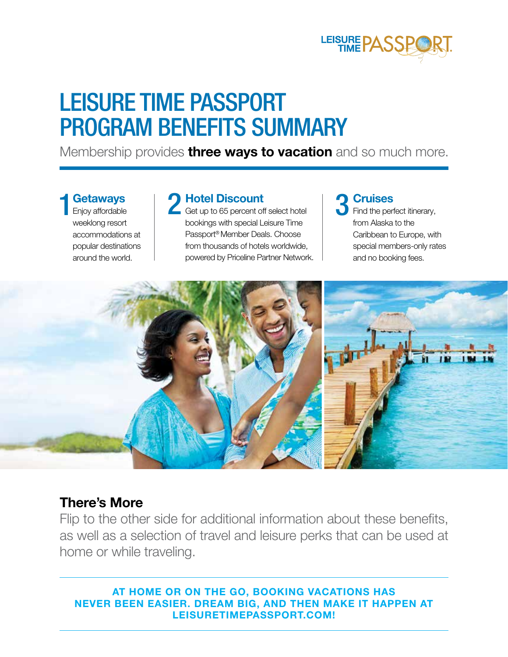

## LEISURE TIME PASSPORT PROGRAM BENEFITS SUMMARY

Membership provides **three ways to vacation** and so much more.

**Getaways** Enjoy affordable weeklong resort accommodations at popular destinations around the world.

1 **Getaways** Enjoy affordable **2 Hotel Discount** Get up to 65 percent off select hotel **3** Find the per bookings with special Leisure Time Passport® Member Deals. Choose from thousands of hotels worldwide, powered by Priceline Partner Network.

# 3

Find the perfect itinerary, from Alaska to the Caribbean to Europe, with special members-only rates and no booking fees.



### **There's More**

Flip to the other side for additional information about these benefits, as well as a selection of travel and leisure perks that can be used at home or while traveling.

**AT HOME OR ON THE GO, BOOKING VACATIONS HAS NEVER BEEN EASIER. DREAM BIG, AND THEN MAKE IT HAPPEN AT LEISURETIMEPASSPORT.COM!**